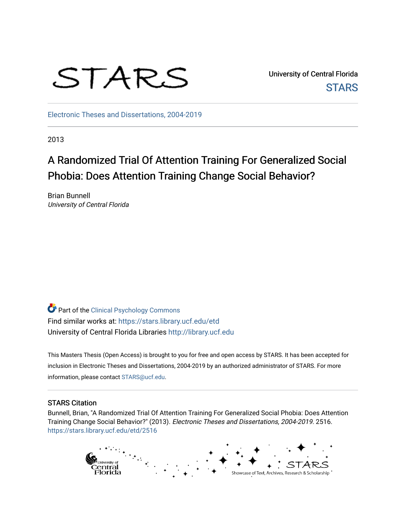

University of Central Florida **STARS** 

[Electronic Theses and Dissertations, 2004-2019](https://stars.library.ucf.edu/etd) 

2013

# A Randomized Trial Of Attention Training For Generalized Social Phobia: Does Attention Training Change Social Behavior?

Brian Bunnell University of Central Florida

Part of the [Clinical Psychology Commons](http://network.bepress.com/hgg/discipline/406?utm_source=stars.library.ucf.edu%2Fetd%2F2516&utm_medium=PDF&utm_campaign=PDFCoverPages)  Find similar works at: <https://stars.library.ucf.edu/etd> University of Central Florida Libraries [http://library.ucf.edu](http://library.ucf.edu/) 

This Masters Thesis (Open Access) is brought to you for free and open access by STARS. It has been accepted for inclusion in Electronic Theses and Dissertations, 2004-2019 by an authorized administrator of STARS. For more information, please contact [STARS@ucf.edu.](mailto:STARS@ucf.edu)

#### STARS Citation

Bunnell, Brian, "A Randomized Trial Of Attention Training For Generalized Social Phobia: Does Attention Training Change Social Behavior?" (2013). Electronic Theses and Dissertations, 2004-2019. 2516. [https://stars.library.ucf.edu/etd/2516](https://stars.library.ucf.edu/etd/2516?utm_source=stars.library.ucf.edu%2Fetd%2F2516&utm_medium=PDF&utm_campaign=PDFCoverPages) 

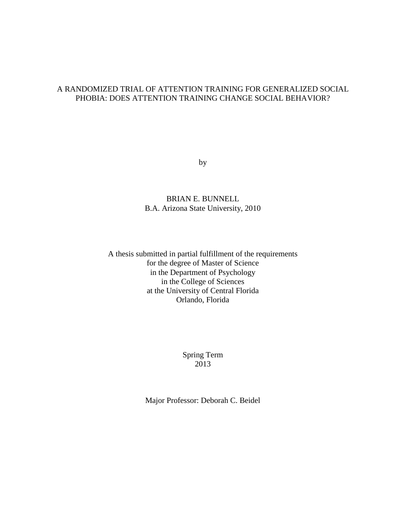# A RANDOMIZED TRIAL OF ATTENTION TRAINING FOR GENERALIZED SOCIAL PHOBIA: DOES ATTENTION TRAINING CHANGE SOCIAL BEHAVIOR?

by

# BRIAN E. BUNNELL B.A. Arizona State University, 2010

## A thesis submitted in partial fulfillment of the requirements for the degree of Master of Science in the Department of Psychology in the College of Sciences at the University of Central Florida Orlando, Florida

Spring Term 2013

Major Professor: Deborah C. Beidel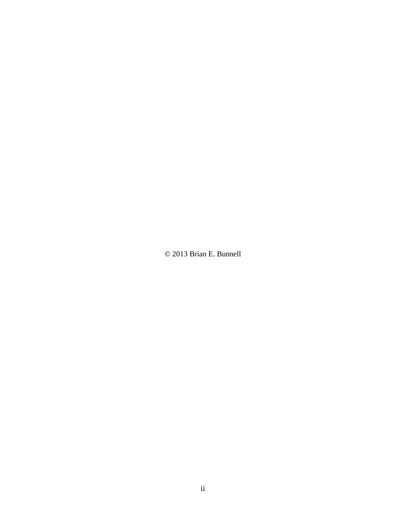© 2013 Brian E. Bunnell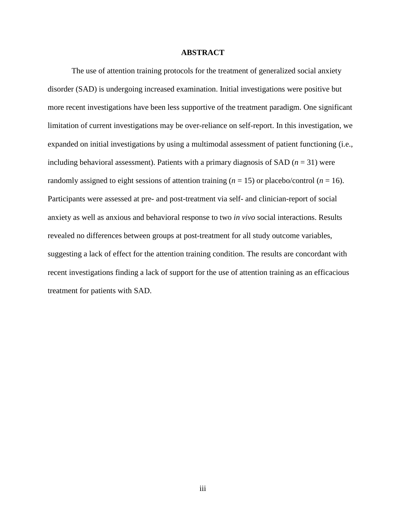#### **ABSTRACT**

<span id="page-3-0"></span>The use of attention training protocols for the treatment of generalized social anxiety disorder (SAD) is undergoing increased examination. Initial investigations were positive but more recent investigations have been less supportive of the treatment paradigm. One significant limitation of current investigations may be over-reliance on self-report. In this investigation, we expanded on initial investigations by using a multimodal assessment of patient functioning (i.e., including behavioral assessment). Patients with a primary diagnosis of SAD  $(n = 31)$  were randomly assigned to eight sessions of attention training  $(n = 15)$  or placebo/control  $(n = 16)$ . Participants were assessed at pre- and post-treatment via self- and clinician-report of social anxiety as well as anxious and behavioral response to two *in vivo* social interactions. Results revealed no differences between groups at post-treatment for all study outcome variables, suggesting a lack of effect for the attention training condition. The results are concordant with recent investigations finding a lack of support for the use of attention training as an efficacious treatment for patients with SAD.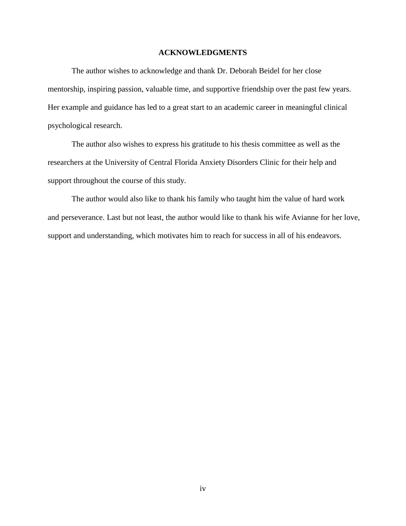#### **ACKNOWLEDGMENTS**

<span id="page-4-0"></span>The author wishes to acknowledge and thank Dr. Deborah Beidel for her close mentorship, inspiring passion, valuable time, and supportive friendship over the past few years. Her example and guidance has led to a great start to an academic career in meaningful clinical psychological research.

The author also wishes to express his gratitude to his thesis committee as well as the researchers at the University of Central Florida Anxiety Disorders Clinic for their help and support throughout the course of this study.

The author would also like to thank his family who taught him the value of hard work and perseverance. Last but not least, the author would like to thank his wife Avianne for her love, support and understanding, which motivates him to reach for success in all of his endeavors.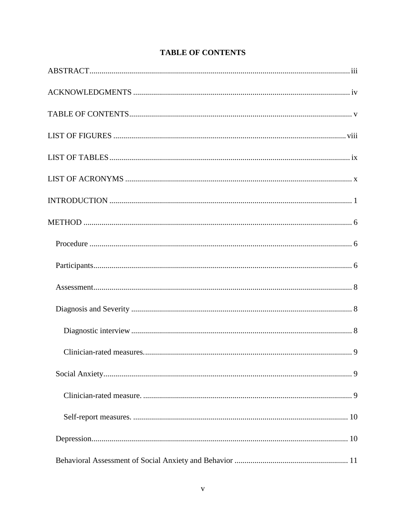<span id="page-5-0"></span>

# **TABLE OF CONTENTS**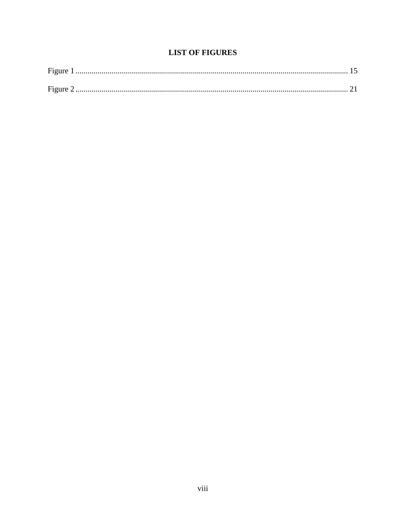# **LIST OF FIGURES**

<span id="page-8-0"></span>

| Figure |  |
|--------|--|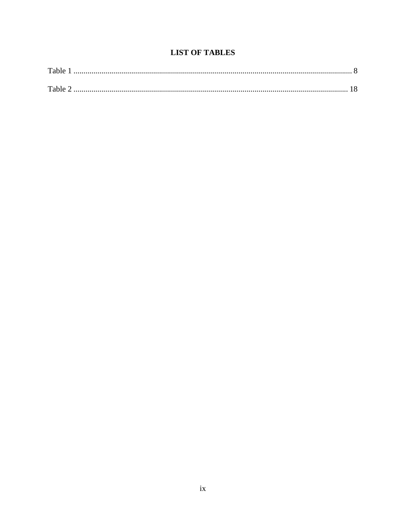# **LIST OF TABLES**

<span id="page-9-0"></span>

| Table |  |
|-------|--|
| Table |  |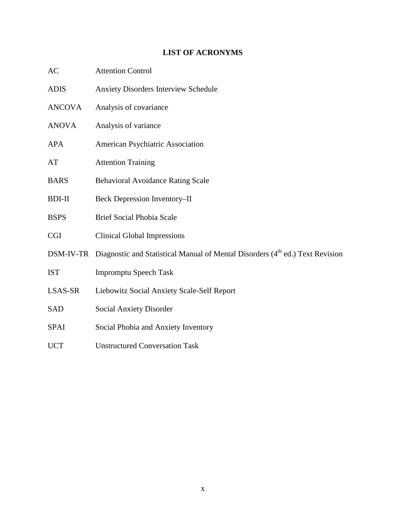### **LIST OF ACRONYMS**

- <span id="page-10-0"></span>AC Attention Control
- ADIS Anxiety Disorders Interview Schedule ANCOVA Analysis of covariance ANOVA Analysis of variance APA American Psychiatric Association AT Attention Training BARS Behavioral Avoidance Rating Scale
- BDI-II Beck Depression Inventory–II
- BSPS Brief Social Phobia Scale
- CGI Clinical Global Impressions
- DSM-IV-TR Diagnostic and Statistical Manual of Mental Disorders (4<sup>th</sup> ed.) Text Revision
- IST Impromptu Speech Task
- LSAS-SR Liebowitz Social Anxiety Scale-Self Report
- SAD Social Anxiety Disorder
- SPAI Social Phobia and Anxiety Inventory
- UCT Unstructured Conversation Task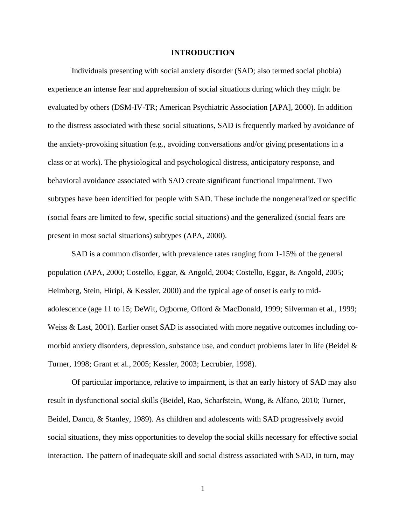#### **INTRODUCTION**

<span id="page-11-0"></span>Individuals presenting with social anxiety disorder (SAD; also termed social phobia) experience an intense fear and apprehension of social situations during which they might be evaluated by others (DSM-IV-TR; American Psychiatric Association [APA], 2000). In addition to the distress associated with these social situations, SAD is frequently marked by avoidance of the anxiety-provoking situation (e.g., avoiding conversations and/or giving presentations in a class or at work). The physiological and psychological distress, anticipatory response, and behavioral avoidance associated with SAD create significant functional impairment. Two subtypes have been identified for people with SAD. These include the nongeneralized or specific (social fears are limited to few, specific social situations) and the generalized (social fears are present in most social situations) subtypes (APA, 2000).

SAD is a common disorder, with prevalence rates ranging from 1-15% of the general population (APA, 2000; Costello, Eggar, & Angold, 2004; Costello, Eggar, & Angold, 2005; Heimberg, Stein, Hiripi, & Kessler, 2000) and the typical age of onset is early to midadolescence (age 11 to 15; DeWit, Ogborne, Offord & MacDonald, 1999; Silverman et al., 1999; Weiss & Last, 2001). Earlier onset SAD is associated with more negative outcomes including comorbid anxiety disorders, depression, substance use, and conduct problems later in life (Beidel  $\&$ Turner, 1998; Grant et al., 2005; Kessler, 2003; Lecrubier, 1998).

Of particular importance, relative to impairment, is that an early history of SAD may also result in dysfunctional social skills (Beidel, Rao, Scharfstein, Wong, & Alfano, 2010; Turner, Beidel, Dancu, & Stanley, 1989). As children and adolescents with SAD progressively avoid social situations, they miss opportunities to develop the social skills necessary for effective social interaction. The pattern of inadequate skill and social distress associated with SAD, in turn, may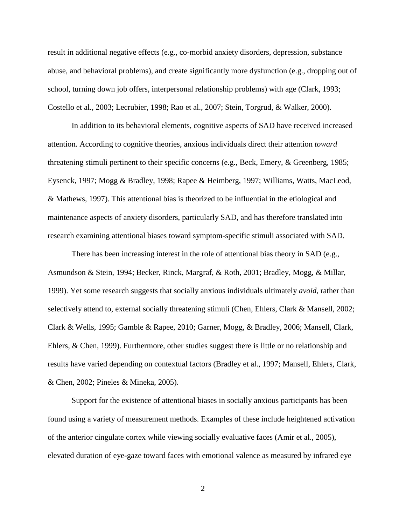result in additional negative effects (e.g., co-morbid anxiety disorders, depression, substance abuse, and behavioral problems), and create significantly more dysfunction (e.g., dropping out of school, turning down job offers, interpersonal relationship problems) with age (Clark, 1993; Costello et al., 2003; Lecrubier, 1998; Rao et al., 2007; Stein, Torgrud, & Walker, 2000).

In addition to its behavioral elements, cognitive aspects of SAD have received increased attention. According to cognitive theories, anxious individuals direct their attention *toward* threatening stimuli pertinent to their specific concerns (e.g., Beck, Emery, & Greenberg, 1985; Eysenck, 1997; Mogg & Bradley, 1998; Rapee & Heimberg, 1997; Williams, Watts, MacLeod, & Mathews, 1997). This attentional bias is theorized to be influential in the etiological and maintenance aspects of anxiety disorders, particularly SAD, and has therefore translated into research examining attentional biases toward symptom-specific stimuli associated with SAD.

There has been increasing interest in the role of attentional bias theory in SAD (e.g., Asmundson & Stein, 1994; Becker, Rinck, Margraf, & Roth, 2001; Bradley, Mogg, & Millar, 1999). Yet some research suggests that socially anxious individuals ultimately *avoid*, rather than selectively attend to, external socially threatening stimuli (Chen, Ehlers, Clark & Mansell, 2002; Clark & Wells, 1995; Gamble & Rapee, 2010; Garner, Mogg, & Bradley, 2006; Mansell, Clark, Ehlers, & Chen, 1999). Furthermore, other studies suggest there is little or no relationship and results have varied depending on contextual factors (Bradley et al., 1997; Mansell, Ehlers, Clark, & Chen, 2002; Pineles & Mineka, 2005).

Support for the existence of attentional biases in socially anxious participants has been found using a variety of measurement methods. Examples of these include heightened activation of the anterior cingulate cortex while viewing socially evaluative faces (Amir et al., 2005), elevated duration of eye-gaze toward faces with emotional valence as measured by infrared eye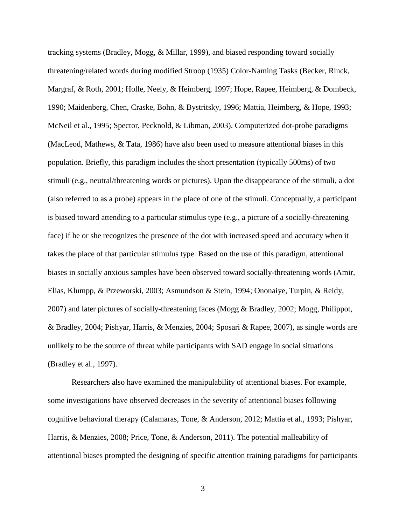tracking systems (Bradley, Mogg, & Millar, 1999), and biased responding toward socially threatening/related words during modified Stroop (1935) Color-Naming Tasks (Becker, Rinck, Margraf, & Roth, 2001; Holle, Neely, & Heimberg, 1997; Hope, Rapee, Heimberg, & Dombeck, 1990; Maidenberg, Chen, Craske, Bohn, & Bystritsky, 1996; Mattia, Heimberg, & Hope, 1993; McNeil et al., 1995; Spector, Pecknold, & Libman, 2003). Computerized dot-probe paradigms (MacLeod, Mathews, & Tata, 1986) have also been used to measure attentional biases in this population. Briefly, this paradigm includes the short presentation (typically 500ms) of two stimuli (e.g., neutral/threatening words or pictures). Upon the disappearance of the stimuli, a dot (also referred to as a probe) appears in the place of one of the stimuli. Conceptually, a participant is biased toward attending to a particular stimulus type (e.g., a picture of a socially-threatening face) if he or she recognizes the presence of the dot with increased speed and accuracy when it takes the place of that particular stimulus type. Based on the use of this paradigm, attentional biases in socially anxious samples have been observed toward socially-threatening words (Amir, Elias, Klumpp, & Przeworski, 2003; Asmundson & Stein, 1994; Ononaiye, Turpin, & Reidy, 2007) and later pictures of socially-threatening faces (Mogg & Bradley, 2002; Mogg, Philippot, & Bradley, 2004; Pishyar, Harris, & Menzies, 2004; Sposari & Rapee, 2007), as single words are unlikely to be the source of threat while participants with SAD engage in social situations (Bradley et al., 1997).

Researchers also have examined the manipulability of attentional biases. For example, some investigations have observed decreases in the severity of attentional biases following cognitive behavioral therapy (Calamaras, Tone, & Anderson, 2012; Mattia et al., 1993; Pishyar, Harris, & Menzies, 2008; Price, Tone, & Anderson, 2011). The potential malleability of attentional biases prompted the designing of specific attention training paradigms for participants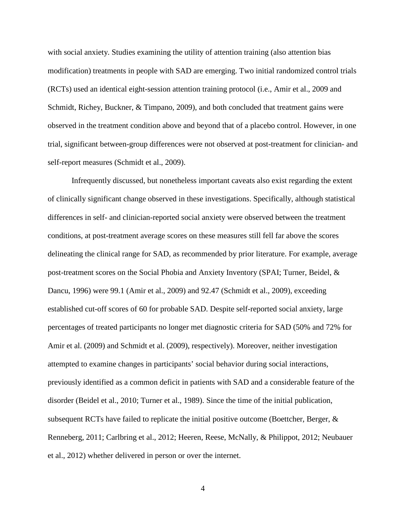with social anxiety. Studies examining the utility of attention training (also attention bias modification) treatments in people with SAD are emerging. Two initial randomized control trials (RCTs) used an identical eight-session attention training protocol (i.e., Amir et al., 2009 and Schmidt, Richey, Buckner, & Timpano, 2009), and both concluded that treatment gains were observed in the treatment condition above and beyond that of a placebo control. However, in one trial, significant between-group differences were not observed at post-treatment for clinician- and self-report measures (Schmidt et al., 2009).

Infrequently discussed, but nonetheless important caveats also exist regarding the extent of clinically significant change observed in these investigations. Specifically, although statistical differences in self- and clinician-reported social anxiety were observed between the treatment conditions, at post-treatment average scores on these measures still fell far above the scores delineating the clinical range for SAD, as recommended by prior literature. For example, average post-treatment scores on the Social Phobia and Anxiety Inventory (SPAI; Turner, Beidel, & Dancu, 1996) were 99.1 (Amir et al., 2009) and 92.47 (Schmidt et al., 2009), exceeding established cut-off scores of 60 for probable SAD. Despite self-reported social anxiety, large percentages of treated participants no longer met diagnostic criteria for SAD (50% and 72% for Amir et al. (2009) and Schmidt et al. (2009), respectively). Moreover, neither investigation attempted to examine changes in participants' social behavior during social interactions, previously identified as a common deficit in patients with SAD and a considerable feature of the disorder (Beidel et al., 2010; Turner et al., 1989). Since the time of the initial publication, subsequent RCTs have failed to replicate the initial positive outcome (Boettcher, Berger, & Renneberg, 2011; Carlbring et al., 2012; Heeren, Reese, McNally, & Philippot, 2012; Neubauer et al., 2012) whether delivered in person or over the internet.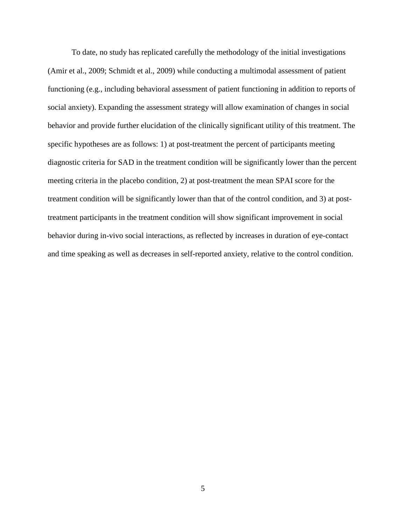To date, no study has replicated carefully the methodology of the initial investigations (Amir et al., 2009; Schmidt et al., 2009) while conducting a multimodal assessment of patient functioning (e.g., including behavioral assessment of patient functioning in addition to reports of social anxiety). Expanding the assessment strategy will allow examination of changes in social behavior and provide further elucidation of the clinically significant utility of this treatment. The specific hypotheses are as follows: 1) at post-treatment the percent of participants meeting diagnostic criteria for SAD in the treatment condition will be significantly lower than the percent meeting criteria in the placebo condition, 2) at post-treatment the mean SPAI score for the treatment condition will be significantly lower than that of the control condition, and 3) at posttreatment participants in the treatment condition will show significant improvement in social behavior during in-vivo social interactions, as reflected by increases in duration of eye-contact and time speaking as well as decreases in self-reported anxiety, relative to the control condition.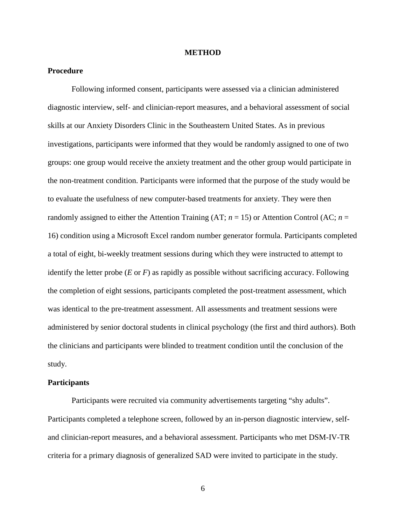#### **METHOD**

### <span id="page-16-1"></span><span id="page-16-0"></span>**Procedure**

Following informed consent, participants were assessed via a clinician administered diagnostic interview, self- and clinician-report measures, and a behavioral assessment of social skills at our Anxiety Disorders Clinic in the Southeastern United States. As in previous investigations, participants were informed that they would be randomly assigned to one of two groups: one group would receive the anxiety treatment and the other group would participate in the non-treatment condition. Participants were informed that the purpose of the study would be to evaluate the usefulness of new computer-based treatments for anxiety. They were then randomly assigned to either the Attention Training (AT;  $n = 15$ ) or Attention Control (AC;  $n =$ 16) condition using a Microsoft Excel random number generator formula. Participants completed a total of eight, bi-weekly treatment sessions during which they were instructed to attempt to identify the letter probe (*E* or *F*) as rapidly as possible without sacrificing accuracy. Following the completion of eight sessions, participants completed the post-treatment assessment, which was identical to the pre-treatment assessment. All assessments and treatment sessions were administered by senior doctoral students in clinical psychology (the first and third authors). Both the clinicians and participants were blinded to treatment condition until the conclusion of the study.

#### <span id="page-16-2"></span>**Participants**

Participants were recruited via community advertisements targeting "shy adults". Participants completed a telephone screen, followed by an in-person diagnostic interview, selfand clinician-report measures, and a behavioral assessment. Participants who met DSM-IV-TR criteria for a primary diagnosis of generalized SAD were invited to participate in the study.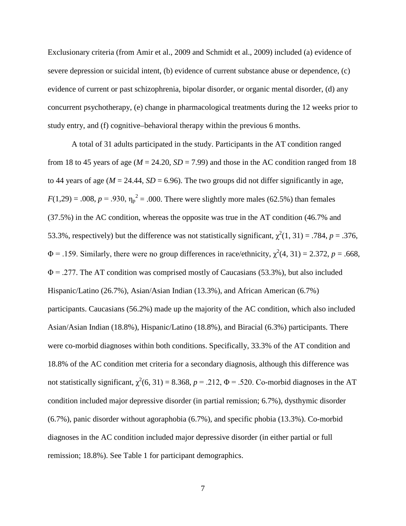Exclusionary criteria (from Amir et al., 2009 and Schmidt et al., 2009) included (a) evidence of severe depression or suicidal intent, (b) evidence of current substance abuse or dependence, (c) evidence of current or past schizophrenia, bipolar disorder, or organic mental disorder, (d) any concurrent psychotherapy, (e) change in pharmacological treatments during the 12 weeks prior to study entry, and (f) cognitive–behavioral therapy within the previous 6 months.

A total of 31 adults participated in the study. Participants in the AT condition ranged from 18 to 45 years of age ( $M = 24.20$ ,  $SD = 7.99$ ) and those in the AC condition ranged from 18 to 44 years of age  $(M = 24.44, SD = 6.96)$ . The two groups did not differ significantly in age,  $F(1,29) = .008$ ,  $p = .930$ ,  $\eta_p^2 = .000$ . There were slightly more males (62.5%) than females (37.5%) in the AC condition, whereas the opposite was true in the AT condition (46.7% and 53.3%, respectively) but the difference was not statistically significant,  $\chi^2(1, 31) = .784$ ,  $p = .376$ ,  $\Phi$  = .159. Similarly, there were no group differences in race/ethnicity,  $\chi^2(4, 31) = 2.372$ ,  $p = .668$ ,  $\Phi$  = .277. The AT condition was comprised mostly of Caucasians (53.3%), but also included Hispanic/Latino (26.7%), Asian/Asian Indian (13.3%), and African American (6.7%) participants. Caucasians (56.2%) made up the majority of the AC condition, which also included Asian/Asian Indian (18.8%), Hispanic/Latino (18.8%), and Biracial (6.3%) participants. There were co-morbid diagnoses within both conditions. Specifically, 33.3% of the AT condition and 18.8% of the AC condition met criteria for a secondary diagnosis, although this difference was not statistically significant,  $\chi^2(6, 31) = 8.368$ ,  $p = .212$ ,  $\Phi = .520$ . Co-morbid diagnoses in the AT condition included major depressive disorder (in partial remission; 6.7%), dysthymic disorder (6.7%), panic disorder without agoraphobia (6.7%), and specific phobia (13.3%). Co-morbid diagnoses in the AC condition included major depressive disorder (in either partial or full remission; 18.8%). See Table 1 for participant demographics.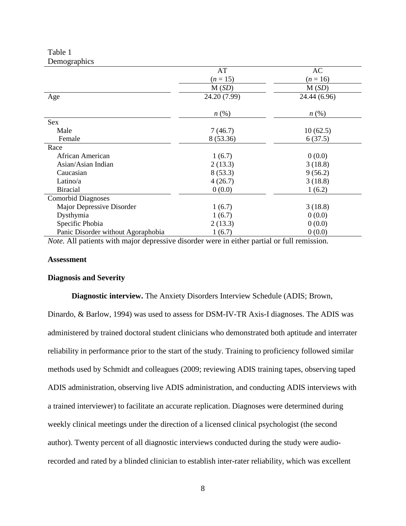<span id="page-18-3"></span>Table 1 **Demographics** 

| - 0- T                             |                    |                    |
|------------------------------------|--------------------|--------------------|
|                                    | AT                 | AC                 |
|                                    | $(n = 15)$         | $(n = 16)$         |
|                                    | M(SD)              | M(SD)              |
| Age                                | 24.20 (7.99)       | 24.44 (6.96)       |
|                                    | $n\left(\%\right)$ | $n\left(\%\right)$ |
| <b>Sex</b>                         |                    |                    |
| Male                               | 7(46.7)            | 10(62.5)           |
| Female                             | 8 (53.36)          | 6(37.5)            |
| Race                               |                    |                    |
| African American                   | 1(6.7)             | 0(0.0)             |
| Asian/Asian Indian                 | 2(13.3)            | 3(18.8)            |
| Caucasian                          | 8(53.3)            | 9(56.2)            |
| Latino/a                           | 4(26.7)            | 3(18.8)            |
| <b>Biracial</b>                    | 0(0.0)             | 1(6.2)             |
| <b>Comorbid Diagnoses</b>          |                    |                    |
| Major Depressive Disorder          | 1(6.7)             | 3(18.8)            |
| Dysthymia                          | 1(6.7)             | 0(0.0)             |
| Specific Phobia                    | 2(13.3)            | 0(0.0)             |
| Panic Disorder without Agoraphobia | 1(6.7)             | 0(0.0)             |

*Note.* All patients with major depressive disorder were in either partial or full remission.

#### <span id="page-18-0"></span>**Assessment**

#### <span id="page-18-2"></span><span id="page-18-1"></span>**Diagnosis and Severity**

**Diagnostic interview.** The Anxiety Disorders Interview Schedule (ADIS; Brown,

Dinardo, & Barlow, 1994) was used to assess for DSM-IV-TR Axis-I diagnoses. The ADIS was administered by trained doctoral student clinicians who demonstrated both aptitude and interrater reliability in performance prior to the start of the study. Training to proficiency followed similar methods used by Schmidt and colleagues (2009; reviewing ADIS training tapes, observing taped ADIS administration, observing live ADIS administration, and conducting ADIS interviews with a trained interviewer) to facilitate an accurate replication. Diagnoses were determined during weekly clinical meetings under the direction of a licensed clinical psychologist (the second author). Twenty percent of all diagnostic interviews conducted during the study were audiorecorded and rated by a blinded clinician to establish inter-rater reliability, which was excellent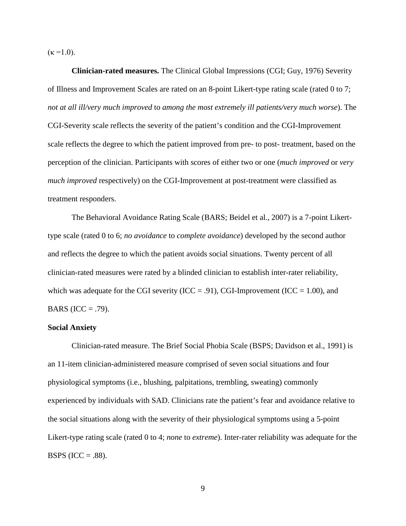$(\kappa = 1.0)$ .

<span id="page-19-0"></span>**Clinician-rated measures.** The Clinical Global Impressions (CGI; Guy, 1976) Severity of Illness and Improvement Scales are rated on an 8-point Likert-type rating scale (rated 0 to 7; *not at all ill/very much improved* to *among the most extremely ill patients/very much worse*). The CGI-Severity scale reflects the severity of the patient's condition and the CGI-Improvement scale reflects the degree to which the patient improved from pre- to post- treatment, based on the perception of the clinician. Participants with scores of either two or one (*much improved* or *very much improved* respectively) on the CGI-Improvement at post-treatment were classified as treatment responders.

The Behavioral Avoidance Rating Scale (BARS; Beidel et al., 2007) is a 7-point Likerttype scale (rated 0 to 6; *no avoidance* to *complete avoidance*) developed by the second author and reflects the degree to which the patient avoids social situations. Twenty percent of all clinician-rated measures were rated by a blinded clinician to establish inter-rater reliability, which was adequate for the CGI severity (ICC = .91), CGI-Improvement (ICC = 1.00), and BARS (ICC = .79).

#### <span id="page-19-1"></span>**Social Anxiety**

<span id="page-19-2"></span>Clinician-rated measure. The Brief Social Phobia Scale (BSPS; Davidson et al., 1991) is an 11-item clinician-administered measure comprised of seven social situations and four physiological symptoms (i.e., blushing, palpitations, trembling, sweating) commonly experienced by individuals with SAD. Clinicians rate the patient's fear and avoidance relative to the social situations along with the severity of their physiological symptoms using a 5-point Likert-type rating scale (rated 0 to 4; *none* to *extreme*). Inter-rater reliability was adequate for the BSPS (ICC =  $.88$ ).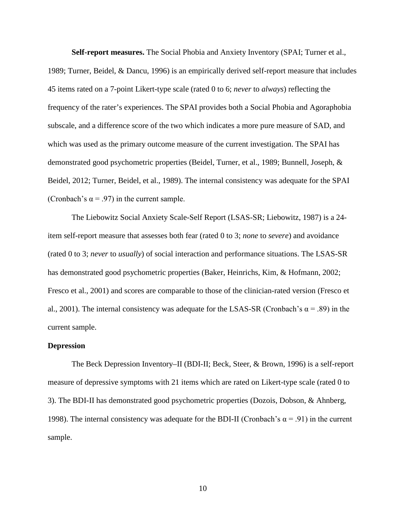<span id="page-20-0"></span>**Self-report measures.** The Social Phobia and Anxiety Inventory (SPAI; Turner et al., 1989; Turner, Beidel, & Dancu, 1996) is an empirically derived self-report measure that includes 45 items rated on a 7-point Likert-type scale (rated 0 to 6; *never* to *always*) reflecting the frequency of the rater's experiences. The SPAI provides both a Social Phobia and Agoraphobia subscale, and a difference score of the two which indicates a more pure measure of SAD, and which was used as the primary outcome measure of the current investigation. The SPAI has demonstrated good psychometric properties (Beidel, Turner, et al., 1989; Bunnell, Joseph, & Beidel, 2012; Turner, Beidel, et al., 1989). The internal consistency was adequate for the SPAI (Cronbach's  $\alpha$  = .97) in the current sample.

The Liebowitz Social Anxiety Scale-Self Report (LSAS-SR; Liebowitz, 1987) is a 24 item self-report measure that assesses both fear (rated 0 to 3; *none* to *severe*) and avoidance (rated 0 to 3; *never* to *usually*) of social interaction and performance situations. The LSAS-SR has demonstrated good psychometric properties (Baker, Heinrichs, Kim, & Hofmann, 2002; Fresco et al., 2001) and scores are comparable to those of the clinician-rated version (Fresco et al., 2001). The internal consistency was adequate for the LSAS-SR (Cronbach's  $\alpha$  = .89) in the current sample.

#### <span id="page-20-1"></span>**Depression**

The Beck Depression Inventory–II (BDI-II; Beck, Steer, & Brown, 1996) is a self-report measure of depressive symptoms with 21 items which are rated on Likert-type scale (rated 0 to 3). The BDI-II has demonstrated good psychometric properties (Dozois, Dobson, & Ahnberg, 1998). The internal consistency was adequate for the BDI-II (Cronbach's  $\alpha$  = .91) in the current sample.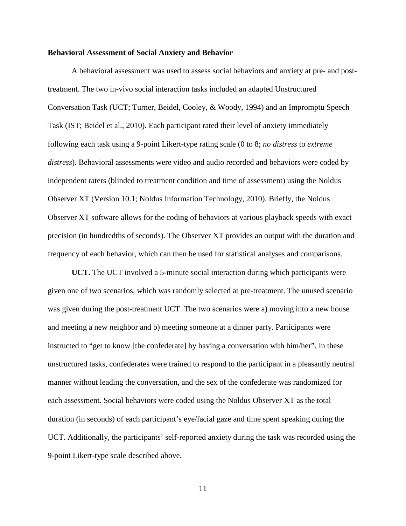#### <span id="page-21-0"></span>**Behavioral Assessment of Social Anxiety and Behavior**

A behavioral assessment was used to assess social behaviors and anxiety at pre- and posttreatment. The two in-vivo social interaction tasks included an adapted Unstructured Conversation Task (UCT; Turner, Beidel, Cooley, & Woody, 1994) and an Impromptu Speech Task (IST; Beidel et al., 2010). Each participant rated their level of anxiety immediately following each task using a 9-point Likert-type rating scale (0 to 8; *no distress* to *extreme distress*). Behavioral assessments were video and audio recorded and behaviors were coded by independent raters (blinded to treatment condition and time of assessment) using the Noldus Observer XT (Version 10.1; Noldus Information Technology, 2010). Briefly, the Noldus Observer XT software allows for the coding of behaviors at various playback speeds with exact precision (in hundredths of seconds). The Observer XT provides an output with the duration and frequency of each behavior, which can then be used for statistical analyses and comparisons.

<span id="page-21-1"></span>**UCT.** The UCT involved a 5-minute social interaction during which participants were given one of two scenarios, which was randomly selected at pre-treatment. The unused scenario was given during the post-treatment UCT. The two scenarios were a) moving into a new house and meeting a new neighbor and b) meeting someone at a dinner party. Participants were instructed to "get to know [the confederate] by having a conversation with him/her". In these unstructured tasks, confederates were trained to respond to the participant in a pleasantly neutral manner without leading the conversation, and the sex of the confederate was randomized for each assessment. Social behaviors were coded using the Noldus Observer XT as the total duration (in seconds) of each participant's eye/facial gaze and time spent speaking during the UCT. Additionally, the participants' self-reported anxiety during the task was recorded using the 9-point Likert-type scale described above.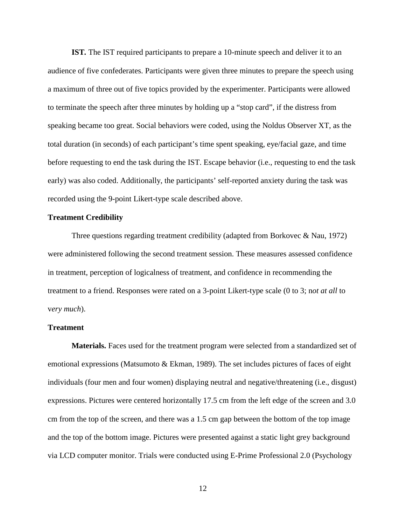<span id="page-22-0"></span>**IST***.* The IST required participants to prepare a 10-minute speech and deliver it to an audience of five confederates. Participants were given three minutes to prepare the speech using a maximum of three out of five topics provided by the experimenter. Participants were allowed to terminate the speech after three minutes by holding up a "stop card", if the distress from speaking became too great. Social behaviors were coded, using the Noldus Observer XT, as the total duration (in seconds) of each participant's time spent speaking, eye/facial gaze, and time before requesting to end the task during the IST. Escape behavior (i.e., requesting to end the task early) was also coded. Additionally, the participants' self-reported anxiety during the task was recorded using the 9-point Likert-type scale described above.

#### <span id="page-22-1"></span>**Treatment Credibility**

Three questions regarding treatment credibility (adapted from Borkovec & Nau, 1972) were administered following the second treatment session. These measures assessed confidence in treatment, perception of logicalness of treatment, and confidence in recommending the treatment to a friend. Responses were rated on a 3-point Likert-type scale (0 to 3; n*ot at all* to v*ery much*).

#### <span id="page-22-2"></span>**Treatment**

<span id="page-22-3"></span>**Materials.** Faces used for the treatment program were selected from a standardized set of emotional expressions (Matsumoto & Ekman, 1989). The set includes pictures of faces of eight individuals (four men and four women) displaying neutral and negative/threatening (i.e., disgust) expressions. Pictures were centered horizontally 17.5 cm from the left edge of the screen and 3.0 cm from the top of the screen, and there was a 1.5 cm gap between the bottom of the top image and the top of the bottom image. Pictures were presented against a static light grey background via LCD computer monitor. Trials were conducted using E-Prime Professional 2.0 (Psychology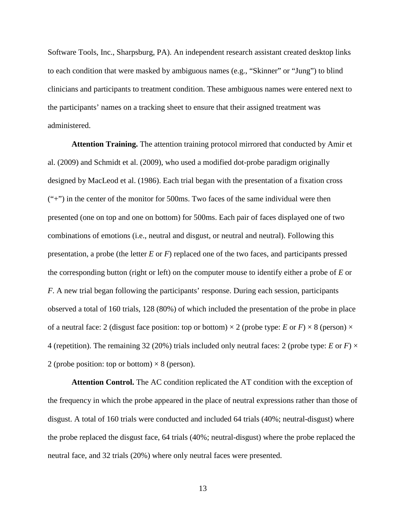Software Tools, Inc., Sharpsburg, PA). An independent research assistant created desktop links to each condition that were masked by ambiguous names (e.g., "Skinner" or "Jung") to blind clinicians and participants to treatment condition. These ambiguous names were entered next to the participants' names on a tracking sheet to ensure that their assigned treatment was administered.

<span id="page-23-0"></span>**Attention Training.** The attention training protocol mirrored that conducted by Amir et al. (2009) and Schmidt et al. (2009), who used a modified dot-probe paradigm originally designed by MacLeod et al. (1986). Each trial began with the presentation of a fixation cross ("+") in the center of the monitor for 500ms. Two faces of the same individual were then presented (one on top and one on bottom) for 500ms. Each pair of faces displayed one of two combinations of emotions (i.e., neutral and disgust, or neutral and neutral). Following this presentation, a probe (the letter *E* or *F*) replaced one of the two faces, and participants pressed the corresponding button (right or left) on the computer mouse to identify either a probe of *E* or *F*. A new trial began following the participants' response. During each session, participants observed a total of 160 trials, 128 (80%) of which included the presentation of the probe in place of a neutral face: 2 (disgust face position: top or bottom)  $\times$  2 (probe type: *E* or *F*)  $\times$  8 (person)  $\times$ 4 (repetition). The remaining 32 (20%) trials included only neutral faces: 2 (probe type: *E* or *F*)  $\times$ 2 (probe position: top or bottom)  $\times$  8 (person).

<span id="page-23-1"></span>**Attention Control.** The AC condition replicated the AT condition with the exception of the frequency in which the probe appeared in the place of neutral expressions rather than those of disgust. A total of 160 trials were conducted and included 64 trials (40%; neutral-disgust) where the probe replaced the disgust face, 64 trials (40%; neutral-disgust) where the probe replaced the neutral face, and 32 trials (20%) where only neutral faces were presented.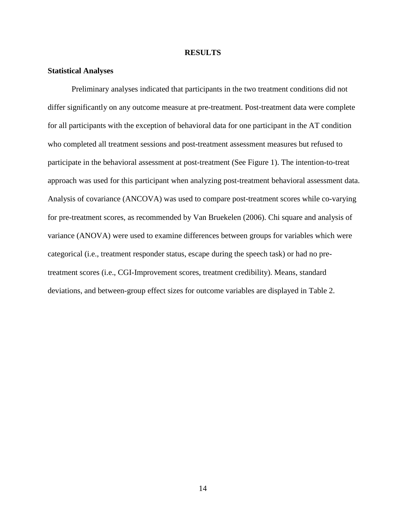#### **RESULTS**

#### <span id="page-24-1"></span><span id="page-24-0"></span>**Statistical Analyses**

Preliminary analyses indicated that participants in the two treatment conditions did not differ significantly on any outcome measure at pre-treatment. Post-treatment data were complete for all participants with the exception of behavioral data for one participant in the AT condition who completed all treatment sessions and post-treatment assessment measures but refused to participate in the behavioral assessment at post-treatment (See Figure 1). The intention-to-treat approach was used for this participant when analyzing post-treatment behavioral assessment data. Analysis of covariance (ANCOVA) was used to compare post-treatment scores while co-varying for pre-treatment scores, as recommended by Van Bruekelen (2006). Chi square and analysis of variance (ANOVA) were used to examine differences between groups for variables which were categorical (i.e., treatment responder status, escape during the speech task) or had no pretreatment scores (i.e., CGI-Improvement scores, treatment credibility). Means, standard deviations, and between-group effect sizes for outcome variables are displayed in Table 2.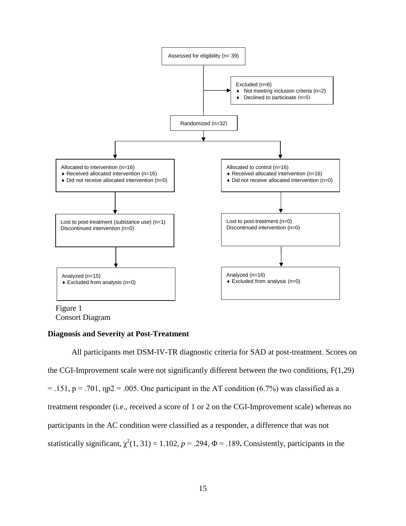

<span id="page-25-1"></span>Consort Diagram

### <span id="page-25-0"></span>**Diagnosis and Severity at Post-Treatment**

All participants met DSM-IV-TR diagnostic criteria for SAD at post-treatment. Scores on the CGI-Improvement scale were not significantly different between the two conditions, F(1,29)  $= .151$ ,  $p = .701$ ,  $np2 = .005$ . One participant in the AT condition (6.7%) was classified as a treatment responder (i.e., received a score of 1 or 2 on the CGI-Improvement scale) whereas no participants in the AC condition were classified as a responder, a difference that was not statistically significant,  $\chi^2(1, 31) = 1.102$ ,  $p = .294$ ,  $\Phi = .189$ . Consistently, participants in the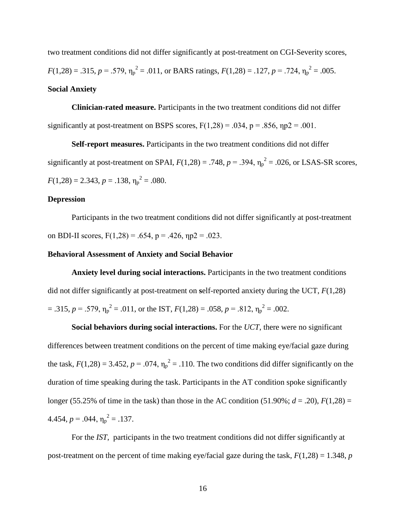two treatment conditions did not differ significantly at post-treatment on CGI-Severity scores,  $F(1,28) = .315$ ,  $p = .579$ ,  $\eta_p^2 = .011$ , or BARS ratings,  $F(1,28) = .127$ ,  $p = .724$ ,  $\eta_p^2 = .005$ . **Social Anxiety**

<span id="page-26-1"></span><span id="page-26-0"></span>**Clinician-rated measure.** Participants in the two treatment conditions did not differ significantly at post-treatment on BSPS scores,  $F(1,28) = .034$ ,  $p = .856$ ,  $np2 = .001$ .

<span id="page-26-2"></span>**Self-report measures.** Participants in the two treatment conditions did not differ significantly at post-treatment on SPAI,  $F(1,28) = .748$ ,  $p = .394$ ,  $\eta_p^2 = .026$ , or LSAS-SR scores,  $F(1,28) = 2.343, p = .138, \eta_p^2 = .080.$ 

#### <span id="page-26-3"></span>**Depression**

Participants in the two treatment conditions did not differ significantly at post-treatment on BDI-II scores,  $F(1,28) = .654$ ,  $p = .426$ ,  $np2 = .023$ .

#### <span id="page-26-4"></span>**Behavioral Assessment of Anxiety and Social Behavior**

<span id="page-26-5"></span>**Anxiety level during social interactions.** Participants in the two treatment conditions did not differ significantly at post-treatment on **s**elf-reported anxiety during the UCT, *F*(1,28)  $= .315, p = .579, \eta_p^2 = .011,$  or the IST,  $F(1,28) = .058, p = .812, \eta_p^2 = .002$ .

<span id="page-26-6"></span>**Social behaviors during social interactions.** For the *UCT*, there were no significant differences between treatment conditions on the percent of time making eye/facial gaze during the task,  $F(1,28) = 3.452$ ,  $p = .074$ ,  $\eta_p^2 = .110$ . The two conditions did differ significantly on the duration of time speaking during the task. Participants in the AT condition spoke significantly longer (55.25% of time in the task) than those in the AC condition (51.90%;  $d = .20$ ),  $F(1,28) =$ 4.454,  $p = .044$ ,  $\eta_p^2 = .137$ .

For the *IST*, participants in the two treatment conditions did not differ significantly at post-treatment on the percent of time making eye/facial gaze during the task,  $F(1,28) = 1.348$ , *p*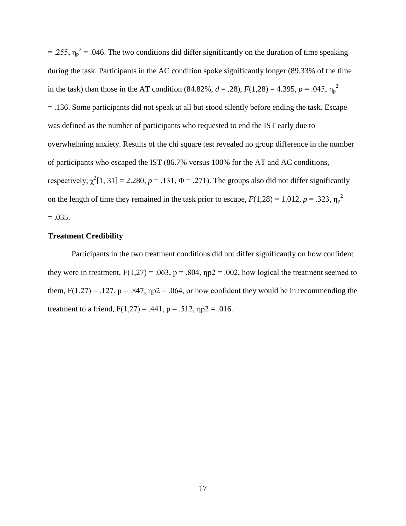= .255,  $\eta_p^2$  = .046. The two conditions did differ significantly on the duration of time speaking during the task. Participants in the AC condition spoke significantly longer (89.33% of the time in the task) than those in the AT condition (84.82%,  $d = .28$ ),  $F(1,28) = 4.395$ ,  $p = .045$ ,  $\eta_p^2$ = .136. Some participants did not speak at all but stood silently before ending the task. Escape was defined as the number of participants who requested to end the IST early due to overwhelming anxiety. Results of the chi square test revealed no group difference in the number of participants who escaped the IST (86.7% versus 100% for the AT and AC conditions, respectively;  $\chi^2[1, 31] = 2.280$ ,  $p = .131$ ,  $\Phi = .271$ ). The groups also did not differ significantly on the length of time they remained in the task prior to escape,  $F(1,28) = 1.012$ ,  $p = .323$ ,  $\eta_p^2$  $=.035.$ 

### <span id="page-27-0"></span>**Treatment Credibility**

Participants in the two treatment conditions did not differ significantly on how confident they were in treatment,  $F(1,27) = .063$ ,  $p = .804$ ,  $np2 = .002$ , how logical the treatment seemed to them,  $F(1,27) = .127$ ,  $p = .847$ ,  $np2 = .064$ , or how confident they would be in recommending the treatment to a friend,  $F(1,27) = .441$ ,  $p = .512$ ,  $np2 = .016$ .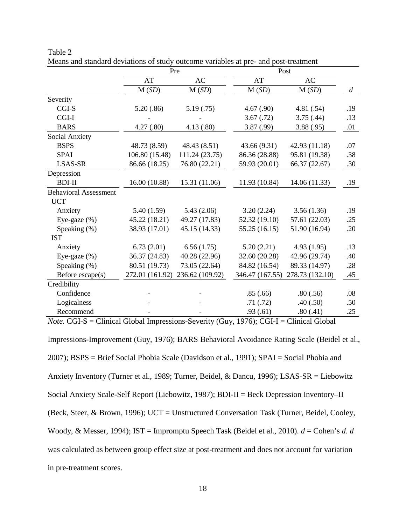|                              | Pre             |                 | Post            |                 |                |
|------------------------------|-----------------|-----------------|-----------------|-----------------|----------------|
|                              | AT              | AC              | AT              | AC              |                |
|                              | M(SD)           | M(SD)           | M(SD)           | M(SD)           | $\overline{d}$ |
| Severity                     |                 |                 |                 |                 |                |
| CGI-S                        | 5.20(.86)       | 5.19(0.75)      | 4.67(.90)       | 4.81(.54)       | .19            |
| CGI-I                        |                 |                 | 3.67(0.72)      | 3.75(.44)       | .13            |
| <b>BARS</b>                  | 4.27(.80)       | 4.13(0.80)      | 3.87 (.99)      | 3.88(.95)       | .01            |
| Social Anxiety               |                 |                 |                 |                 |                |
| <b>BSPS</b>                  | 48.73 (8.59)    | 48.43 (8.51)    | 43.66 (9.31)    | 42.93 (11.18)   | .07            |
| <b>SPAI</b>                  | 106.80 (15.48)  | 111.24 (23.75)  | 86.36 (28.88)   | 95.81 (19.38)   | .38            |
| <b>LSAS-SR</b>               | 86.66 (18.25)   | 76.80 (22.21)   | 59.93 (20.01)   | 66.37 (22.67)   | .30            |
| Depression                   |                 |                 |                 |                 |                |
| <b>BDI-II</b>                | 16.00(10.88)    | 15.31 (11.06)   | 11.93 (10.84)   | 14.06 (11.33)   | .19            |
| <b>Behavioral Assessment</b> |                 |                 |                 |                 |                |
| <b>UCT</b>                   |                 |                 |                 |                 |                |
| Anxiety                      | 5.40(1.59)      | 5.43(2.06)      | 3.20(2.24)      | 3.56(1.36)      | .19            |
| Eye-gaze $(\%)$              | 45.22 (18.21)   | 49.27 (17.83)   | 52.32 (19.10)   | 57.61 (22.03)   | .25            |
| Speaking (%)                 | 38.93 (17.01)   | 45.15 (14.33)   | 55.25 (16.15)   | 51.90 (16.94)   | .20            |
| <b>IST</b>                   |                 |                 |                 |                 |                |
| Anxiety                      | 6.73(2.01)      | 6.56(1.75)      | 5.20(2.21)      | 4.93(1.95)      | .13            |
| Eye-gaze (%)                 | 36.37 (24.83)   | 40.28 (22.96)   | 32.60 (20.28)   | 42.96 (29.74)   | .40            |
| Speaking (%)                 | 80.51 (19.73)   | 73.05 (22.64)   | 84.82 (16.54)   | 89.33 (14.97)   | .28            |
| Before escape(s)             | 272.01 (161.92) | 236.62 (109.92) | 346.47 (167.55) | 278.73 (132.10) | .45            |
| Credibility                  |                 |                 |                 |                 |                |
| Confidence                   |                 |                 | .85(.66)        | .80(.56)        | .08            |
| Logicalness                  |                 |                 | .71(.72)        | .40(.50)        | .50            |
| Recommend                    |                 |                 | .93(.61)        | .80(.41)        | .25            |

<span id="page-28-0"></span>Table 2 Means and standard deviations of study outcome variables at pre- and post-treatment

*Note.* CGI-S = Clinical Global Impressions-Severity (Guy, 1976); CGI-I = Clinical Global Impressions-Improvement (Guy, 1976); BARS Behavioral Avoidance Rating Scale (Beidel et al., 2007); BSPS = Brief Social Phobia Scale (Davidson et al., 1991); SPAI = Social Phobia and Anxiety Inventory (Turner et al., 1989; Turner, Beidel, & Dancu, 1996); LSAS-SR = Liebowitz Social Anxiety Scale-Self Report (Liebowitz, 1987); BDI-II = Beck Depression Inventory–II (Beck, Steer, & Brown, 1996); UCT = Unstructured Conversation Task (Turner, Beidel, Cooley, Woody, & Messer, 1994); IST = Impromptu Speech Task (Beidel et al., 2010). *d* = Cohen's *d*. *d* was calculated as between group effect size at post-treatment and does not account for variation in pre-treatment scores.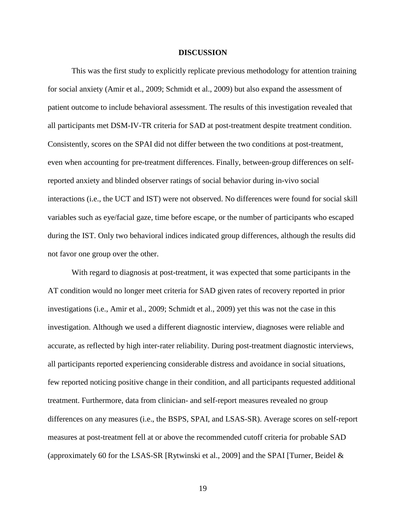#### **DISCUSSION**

<span id="page-29-0"></span>This was the first study to explicitly replicate previous methodology for attention training for social anxiety (Amir et al., 2009; Schmidt et al., 2009) but also expand the assessment of patient outcome to include behavioral assessment. The results of this investigation revealed that all participants met DSM-IV-TR criteria for SAD at post-treatment despite treatment condition. Consistently, scores on the SPAI did not differ between the two conditions at post-treatment, even when accounting for pre-treatment differences. Finally, between-group differences on selfreported anxiety and blinded observer ratings of social behavior during in-vivo social interactions (i.e., the UCT and IST) were not observed. No differences were found for social skill variables such as eye/facial gaze, time before escape, or the number of participants who escaped during the IST. Only two behavioral indices indicated group differences, although the results did not favor one group over the other.

With regard to diagnosis at post-treatment, it was expected that some participants in the AT condition would no longer meet criteria for SAD given rates of recovery reported in prior investigations (i.e., Amir et al., 2009; Schmidt et al., 2009) yet this was not the case in this investigation. Although we used a different diagnostic interview, diagnoses were reliable and accurate, as reflected by high inter-rater reliability. During post-treatment diagnostic interviews, all participants reported experiencing considerable distress and avoidance in social situations, few reported noticing positive change in their condition, and all participants requested additional treatment. Furthermore, data from clinician- and self-report measures revealed no group differences on any measures (i.e., the BSPS, SPAI, and LSAS-SR). Average scores on self-report measures at post-treatment fell at or above the recommended cutoff criteria for probable SAD (approximately 60 for the LSAS-SR [Rytwinski et al., 2009] and the SPAI [Turner, Beidel  $\&$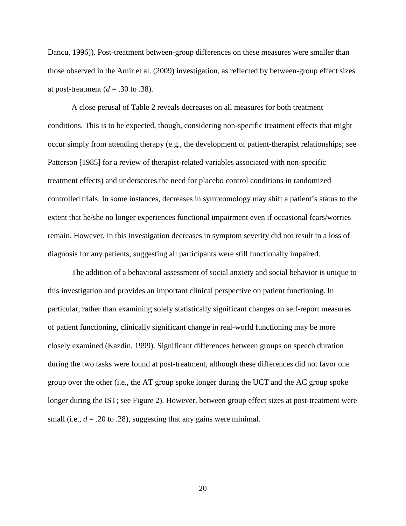Dancu, 1996]). Post-treatment between-group differences on these measures were smaller than those observed in the Amir et al. (2009) investigation, as reflected by between-group effect sizes at post-treatment ( $d = .30$  to .38).

A close perusal of Table 2 reveals decreases on all measures for both treatment conditions. This is to be expected, though, considering non-specific treatment effects that might occur simply from attending therapy (e.g., the development of patient-therapist relationships; see Patterson [1985] for a review of therapist-related variables associated with non-specific treatment effects) and underscores the need for placebo control conditions in randomized controlled trials. In some instances, decreases in symptomology may shift a patient's status to the extent that he/she no longer experiences functional impairment even if occasional fears/worries remain. However, in this investigation decreases in symptom severity did not result in a loss of diagnosis for any patients, suggesting all participants were still functionally impaired.

The addition of a behavioral assessment of social anxiety and social behavior is unique to this investigation and provides an important clinical perspective on patient functioning. In particular, rather than examining solely statistically significant changes on self-report measures of patient functioning, clinically significant change in real-world functioning may be more closely examined (Kazdin, 1999). Significant differences between groups on speech duration during the two tasks were found at post-treatment, although these differences did not favor one group over the other (i.e., the AT group spoke longer during the UCT and the AC group spoke longer during the IST; see Figure 2). However, between group effect sizes at post-treatment were small (i.e.,  $d = .20$  to .28), suggesting that any gains were minimal.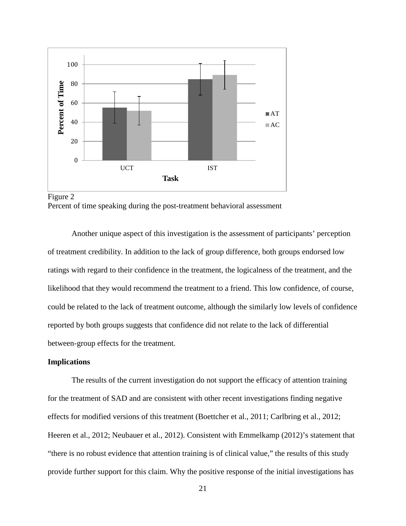

<span id="page-31-1"></span>

Another unique aspect of this investigation is the assessment of participants' perception of treatment credibility. In addition to the lack of group difference, both groups endorsed low ratings with regard to their confidence in the treatment, the logicalness of the treatment, and the likelihood that they would recommend the treatment to a friend. This low confidence, of course, could be related to the lack of treatment outcome, although the similarly low levels of confidence reported by both groups suggests that confidence did not relate to the lack of differential between-group effects for the treatment.

### <span id="page-31-0"></span>**Implications**

The results of the current investigation do not support the efficacy of attention training for the treatment of SAD and are consistent with other recent investigations finding negative effects for modified versions of this treatment (Boettcher et al., 2011; Carlbring et al., 2012; Heeren et al., 2012; Neubauer et al., 2012). Consistent with Emmelkamp (2012)'s statement that "there is no robust evidence that attention training is of clinical value," the results of this study provide further support for this claim. Why the positive response of the initial investigations has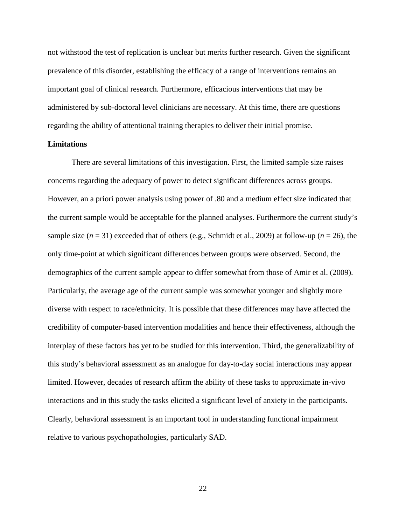not withstood the test of replication is unclear but merits further research. Given the significant prevalence of this disorder, establishing the efficacy of a range of interventions remains an important goal of clinical research. Furthermore, efficacious interventions that may be administered by sub-doctoral level clinicians are necessary. At this time, there are questions regarding the ability of attentional training therapies to deliver their initial promise.

#### <span id="page-32-0"></span>**Limitations**

There are several limitations of this investigation. First, the limited sample size raises concerns regarding the adequacy of power to detect significant differences across groups. However, an a priori power analysis using power of .80 and a medium effect size indicated that the current sample would be acceptable for the planned analyses. Furthermore the current study's sample size  $(n = 31)$  exceeded that of others (e.g., Schmidt et al., 2009) at follow-up  $(n = 26)$ , the only time-point at which significant differences between groups were observed. Second, the demographics of the current sample appear to differ somewhat from those of Amir et al. (2009). Particularly, the average age of the current sample was somewhat younger and slightly more diverse with respect to race/ethnicity. It is possible that these differences may have affected the credibility of computer-based intervention modalities and hence their effectiveness, although the interplay of these factors has yet to be studied for this intervention. Third, the generalizability of this study's behavioral assessment as an analogue for day-to-day social interactions may appear limited. However, decades of research affirm the ability of these tasks to approximate in-vivo interactions and in this study the tasks elicited a significant level of anxiety in the participants. Clearly, behavioral assessment is an important tool in understanding functional impairment relative to various psychopathologies, particularly SAD.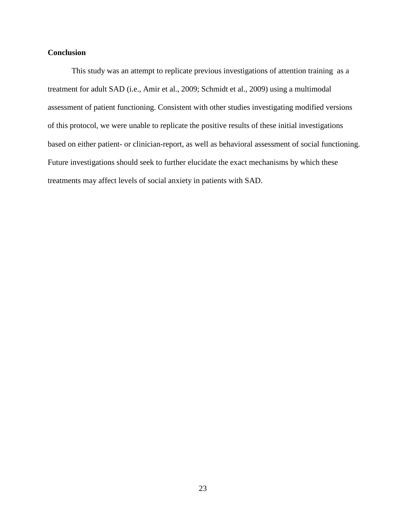# <span id="page-33-0"></span>**Conclusion**

This study was an attempt to replicate previous investigations of attention training as a treatment for adult SAD (i.e., Amir et al., 2009; Schmidt et al., 2009) using a multimodal assessment of patient functioning. Consistent with other studies investigating modified versions of this protocol, we were unable to replicate the positive results of these initial investigations based on either patient- or clinician-report, as well as behavioral assessment of social functioning. Future investigations should seek to further elucidate the exact mechanisms by which these treatments may affect levels of social anxiety in patients with SAD.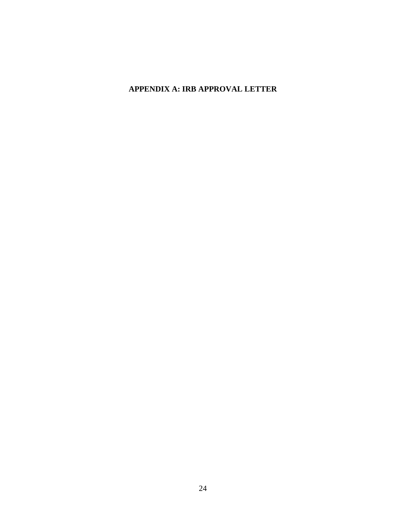# <span id="page-34-0"></span>**APPENDIX A: IRB APPROVAL LETTER**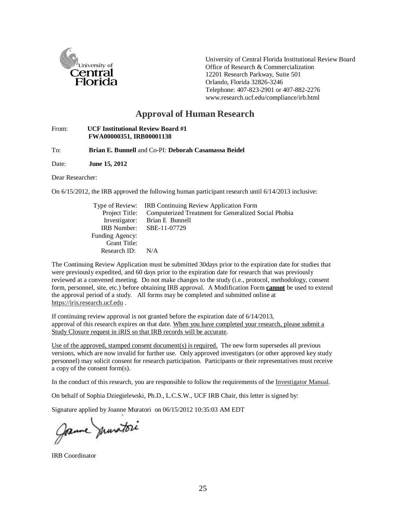

University of Central Florida Institutional Review Board Office of Research & Commercialization 12201 Research Parkway, Suite 501 Orlando, Florida 32826-3246 Telephone: 407-823-2901 or 407-882-227[6](http://www.research.ucf.edu/compliance/irb.html) [www.research.ucf.edu/compliance/irb.html](http://www.research.ucf.edu/compliance/irb.html)

# **Approval of Human Research**

#### From: **UCF Institutional Review Board #1 FWA00000351, IRB00001138**

To: **Brian E. Bunnell** and Co-PI: **Deborah Casamassa Beidel**

Date: **June 15, 2012**

Dear Researcher:

On 6/15/2012, the IRB approved the following human participant research until 6/14/2013 inclusive:

|                     | Type of Review: IRB Continuing Review Application Form              |
|---------------------|---------------------------------------------------------------------|
|                     | Project Title: Computerized Treatment for Generalized Social Phobia |
|                     | Investigator: Brian E Bunnell                                       |
|                     | IRB Number: SBE-11-07729                                            |
| Funding Agency:     |                                                                     |
| <b>Grant Title:</b> |                                                                     |
| Research ID:        | N/A                                                                 |

The Continuing Review Application must be submitted 30days prior to the expiration date for studies that were previously expedited, and 60 days prior to the expiration date for research that was previously reviewed at a convened meeting. Do not make changes to the study (i.e., protocol, methodology, consent form, personnel, site, etc.) before obtaining IRB approval. A Modification Form **cannot** be used to extend the approval period of a study. All forms may be completed and submitted online at https://iris.research.ucf.edu .

If continuing review approval is not granted before the expiration date of 6/14/2013, approval of this research expires on that date. When you have completed your research, please submit a Study Closure request in iRIS so that IRB records will be accurate.

Use of the approved, stamped consent document(s) is required. The new form supersedes all previous versions, which are now invalid for further use. Only approved investigators (or other approved key study personnel) may solicit consent for research participation. Participants or their representatives must receive a copy of the consent form(s).

In the conduct of this research, you are responsible to follow the requirements of the Investigator Manual.

On behalf of Sophia Dziegielewski, Ph.D., L.C.S.W., UCF IRB Chair, this letter is signed by:

Signature applied by Joanne Muratori on 06/15/2012 10:35:03 AM EDT

Jame munitori

IRB Coordinator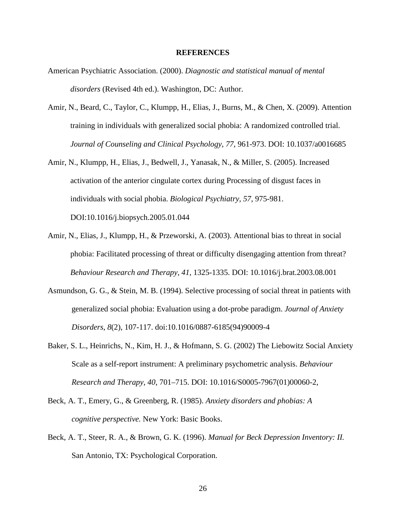#### **REFERENCES**

- <span id="page-36-0"></span>American Psychiatric Association. (2000). *Diagnostic and statistical manual of mental disorders* (Revised 4th ed.). Washington, DC: Author.
- Amir, N., Beard, C., Taylor, C., Klumpp, H., Elias, J., Burns, M., & Chen, X. (2009). Attention training in individuals with generalized social phobia: A randomized controlled trial. *Journal of Counseling and Clinical Psychology, 77*, 961-973. DOI: 10.1037/a0016685
- Amir, N., Klumpp, H., Elias, J., Bedwell, J., Yanasak, N., & Miller, S. (2005). Increased activation of the anterior cingulate cortex during Processing of disgust faces in individuals with social phobia. *Biological Psychiatry, 57*, 975-981. DOI:10.1016/j.biopsych.2005.01.044
- Amir, N., Elias, J., Klumpp, H., & Przeworski, A. (2003). Attentional bias to threat in social phobia: Facilitated processing of threat or difficulty disengaging attention from threat? *Behaviour Research and Therapy, 41,* 1325-1335. DOI: 10.1016/j.brat.2003.08.001
- Asmundson, G. G., & Stein, M. B. (1994). Selective processing of social threat in patients with generalized social phobia: Evaluation using a dot-probe paradigm. *Journal of Anxiety Disorders*, *8*(2), 107-117. doi:10.1016/0887-6185(94)90009-4
- Baker, S. L., Heinrichs, N., Kim, H. J., & Hofmann, S. G. (2002) The Liebowitz Social Anxiety Scale as a self-report instrument: A preliminary psychometric analysis. *Behaviour Research and Therapy, 40*, 701–715. DOI: [10.1016/S0005-7967\(01\)00060-2,](http://dx.doi.org/10.1016/S0005-7967(01)00060-2)
- Beck, A. T., Emery, G., & Greenberg, R. (1985). *Anxiety disorders and phobias: A cognitive perspective.* New York: Basic Books.
- Beck, A. T., Steer, R. A., & Brown, G. K. (1996). *Manual for Beck Depression Inventory: II.*  San Antonio, TX: Psychological Corporation.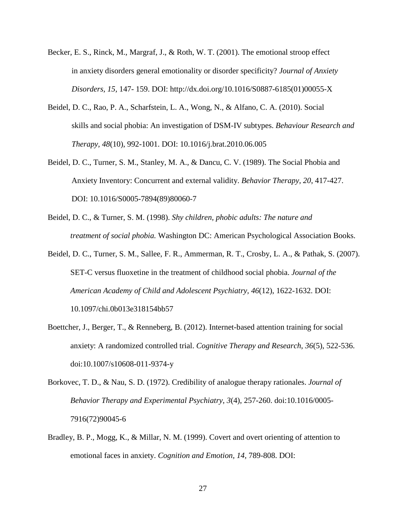- Becker, E. S., Rinck, M., Margraf, J., & Roth, W. T. (2001). The emotional stroop effect in anxiety disorders general emotionality or disorder specificity? *Journal of Anxiety Disorders, 15,* 147- 159. DOI: [http://dx.doi.org/10.1016/S0887-6185\(01\)00055-X](http://dx.doi.org/10.1016/S0887-6185(01)00055-X)
- Beidel, D. C., Rao, P. A., Scharfstein, L. A., Wong, N., & Alfano, C. A. (2010). Social skills and social phobia: An investigation of DSM-IV subtypes. *Behaviour Research and Therapy, 48*(10), 992-1001. DOI: [10.1016/j.brat.2010.06.005](http://dx.crossref.org/10.1016%2Fj.brat.2010.06.005)
- Beidel, D. C., Turner, S. M., Stanley, M. A., & Dancu, C. V. (1989). The Social Phobia and Anxiety Inventory: Concurrent and external validity. *Behavior Therapy, 20*, 417-427. DOI: 10.1016/S0005-7894(89)80060-7
- Beidel, D. C., & Turner, S. M. (1998). *Shy children, phobic adults: The nature and treatment of social phobia.* Washington DC: American Psychological Association Books.
- Beidel, D. C., Turner, S. M., Sallee, F. R., Ammerman, R. T., Crosby, L. A., & Pathak, S. (2007). SET-C versus fluoxetine in the treatment of childhood social phobia. *Journal of the American Academy of Child and Adolescent Psychiatry, 46*(12), 1622-1632. DOI: 10.1097/chi.0b013e318154bb57
- Boettcher, J., Berger, T., & Renneberg, B. (2012). Internet-based attention training for social anxiety: A randomized controlled trial. *Cognitive Therapy and Research*, *36*(5), 522-536. doi:10.1007/s10608-011-9374-y
- Borkovec, T. D., & Nau, S. D. (1972). Credibility of analogue therapy rationales. *Journal of Behavior Therapy and Experimental Psychiatry*, *3*(4), 257-260. doi:10.1016/0005- 7916(72)90045-6
- Bradley, B. P., Mogg, K., & Millar, N. M. (1999). Covert and overt orienting of attention to emotional faces in anxiety. *Cognition and Emotion, 14,* 789-808. DOI: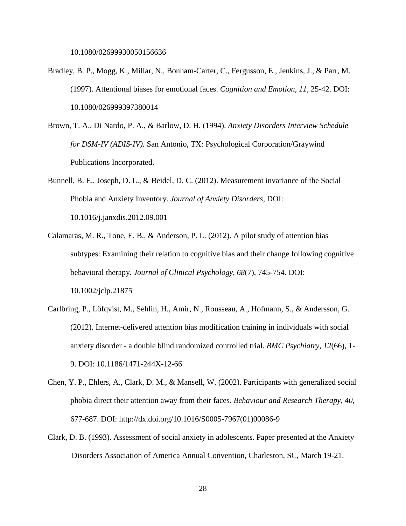10.1080/02699930050156636

- Bradley, B. P., Mogg, K., Millar, N., Bonham-Carter, C., Fergusson, E., Jenkins, J., & Parr, M. (1997). Attentional biases for emotional faces. *Cognition and Emotion, 11,* 25-42. DOI: 10.1080/026999397380014
- Brown, T. A., Di Nardo, P. A., & Barlow, D. H. (1994). *Anxiety Disorders Interview Schedule for DSM-IV (ADIS-IV).* San Antonio, TX: Psychological Corporation/Graywind Publications Incorporated.
- Bunnell, B. E., Joseph, D. L., & Beidel, D. C. (2012). Measurement invariance of the Social Phobia and Anxiety Inventory. *Journal of Anxiety Disorders,* DOI: 10.1016/j.janxdis.2012.09.001
- Calamaras, M. R., Tone, E. B., & Anderson, P. L. (2012). A pilot study of attention bias subtypes: Examining their relation to cognitive bias and their change following cognitive behavioral therapy. *Journal of Clinical Psychology, 68*(7), 745-754. DOI: 10.1002/jclp.21875
- Carlbring, P., Löfqvist, M., Sehlin, H., Amir, N., Rousseau, A., Hofmann, S., & Andersson, G. (2012). Internet-delivered attention bias modification training in individuals with social anxiety disorder - a double blind randomized controlled trial. *BMC Psychiatry*, *12*(66), 1- 9. DOI: 10.1186/1471-244X-12-66
- Chen, Y. P., Ehlers, A., Clark, D. M., & Mansell, W. (2002). Participants with generalized social phobia direct their attention away from their faces. *Behaviour and Research Therapy, 40,* 677-687. DOI: http://dx.doi.org/10.1016/S0005-7967(01)00086-9
- Clark, D. B. (1993). Assessment of social anxiety in adolescents. Paper presented at the Anxiety Disorders Association of America Annual Convention, Charleston, SC, March 19-21.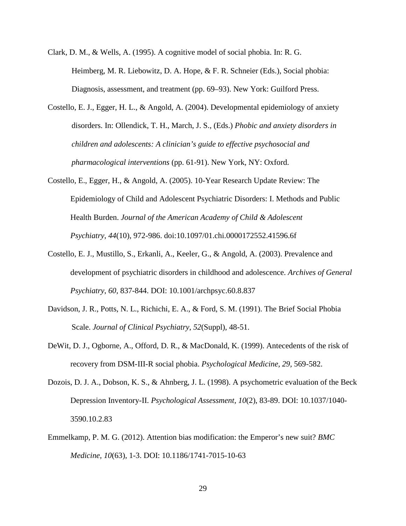- Clark, D. M., & Wells, A. (1995). A cognitive model of social phobia. In: R. G. Heimberg, M. R. Liebowitz, D. A. Hope, & F. R. Schneier (Eds.), Social phobia: Diagnosis, assessment, and treatment (pp. 69–93). New York: Guilford Press.
- Costello, E. J., Egger, H. L., & Angold, A. (2004). Developmental epidemiology of anxiety disorders. In: Ollendick, T. H., March, J. S., (Eds.) *Phobic and anxiety disorders in children and adolescents: A clinician's guide to effective psychosocial and pharmacological interventions* (pp. 61-91). New York, NY: Oxford.
- Costello, E., Egger, H., & Angold, A. (2005). 10-Year Research Update Review: The Epidemiology of Child and Adolescent Psychiatric Disorders: I. Methods and Public Health Burden. *Journal of the American Academy of Child & Adolescent Psychiatry*, *44*(10), 972-986. doi:10.1097/01.chi.0000172552.41596.6f
- Costello, E. J., Mustillo, S., Erkanli, A., Keeler, G., & Angold, A. (2003). Prevalence and development of psychiatric disorders in childhood and adolescence. *Archives of General Psychiatry*, *60*, 837-844. DOI: 10.1001/archpsyc.60.8.837
- Davidson, J. R., Potts, N. L., Richichi, E. A., & Ford, S. M. (1991). The Brief Social Phobia Scale. *Journal of Clinical Psychiatry*, *52*(Suppl), 48-51.
- DeWit, D. J., Ogborne, A., Offord, D. R., & MacDonald, K. (1999). Antecedents of the risk of recovery from DSM-III-R social phobia. *Psychological Medicine, 29,* 569-582.
- Dozois, D. J. A., Dobson, K. S., & Ahnberg, J. L. (1998). A psychometric evaluation of the Beck Depression Inventory-II. *Psychological Assessment, 10*(2), 83-89. DOI: 10.1037/1040- 3590.10.2.83
- Emmelkamp, P. M. G. (2012). Attention bias modification: the Emperor's new suit? *BMC Medicine, 10*(63), 1-3. DOI: 10.1186/1741-7015-10-63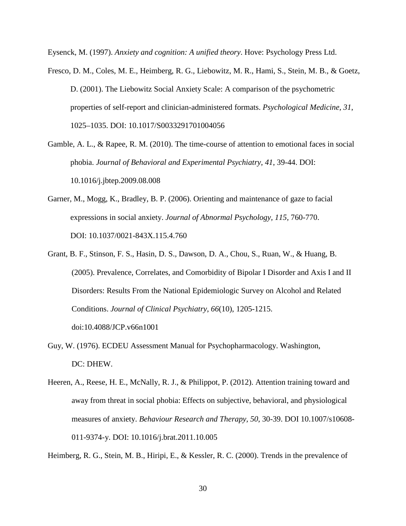Eysenck, M. (1997). *Anxiety and cognition: A unified theory*. Hove: Psychology Press Ltd.

- Fresco, D. M., Coles, M. E., Heimberg, R. G., Liebowitz, M. R., Hami, S., Stein, M. B., & Goetz, D. (2001). The Liebowitz Social Anxiety Scale: A comparison of the psychometric properties of self-report and clinician-administered formats. *Psychological Medicine, 31*, 1025–1035. DOI: 10.1017/S0033291701004056
- Gamble, A. L., & Rapee, R. M. (2010). The time-course of attention to emotional faces in social phobia. *Journal of Behavioral and Experimental Psychiatry*, *41*, 39-44. DOI: 10.1016/j.jbtep.2009.08.008
- Garner, M., Mogg, K., Bradley, B. P. (2006). Orienting and maintenance of gaze to facial expressions in social anxiety. *Journal of Abnormal Psychology, 115,* 760-770. DOI: 10.1037/0021-843X.115.4.760
- Grant, B. F., Stinson, F. S., Hasin, D. S., Dawson, D. A., Chou, S., Ruan, W., & Huang, B. (2005). Prevalence, Correlates, and Comorbidity of Bipolar I Disorder and Axis I and II Disorders: Results From the National Epidemiologic Survey on Alcohol and Related Conditions. *Journal of Clinical Psychiatry*, *66*(10), 1205-1215. doi:10.4088/JCP.v66n1001
- Guy, W. (1976). ECDEU Assessment Manual for Psychopharmacology. Washington, DC: DHEW.
- Heeren, A., Reese, H. E., McNally, R. J., & Philippot, P. (2012). Attention training toward and away from threat in social phobia: Effects on subjective, behavioral, and physiological measures of anxiety. *Behaviour Research and Therapy, 50*, 30-39. DOI 10.1007/s10608- 011-9374-y. DOI: 10.1016/j.brat.2011.10.005

Heimberg, R. G., Stein, M. B., Hiripi, E., & Kessler, R. C. (2000). Trends in the prevalence of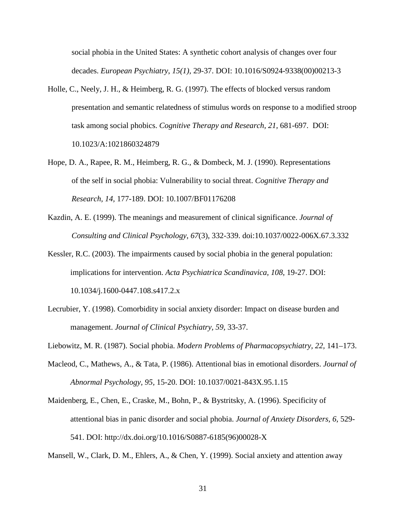social phobia in the United States: A synthetic cohort analysis of changes over four decades. *European Psychiatry*, *15(1),* 29-37. DOI: 10.1016/S0924-9338(00)00213-3

- Holle, C., Neely, J. H., & Heimberg, R. G. (1997). The effects of blocked versus random presentation and semantic relatedness of stimulus words on response to a modified stroop task among social phobics. *Cognitive Therapy and Research, 21,* 681-697. DOI: 10.1023/A:1021860324879
- Hope, D. A., Rapee, R. M., Heimberg, R. G., & Dombeck, M. J. (1990). Representations of the self in social phobia: Vulnerability to social threat. *Cognitive Therapy and Research, 14,* 177-189. DOI: 10.1007/BF01176208
- Kazdin, A. E. (1999). The meanings and measurement of clinical significance. *Journal of Consulting and Clinical Psychology*, *67*(3), 332-339. doi:10.1037/0022-006X.67.3.332
- Kessler, R.C. (2003). The impairments caused by social phobia in the general population: implications for intervention. *Acta Psychiatrica Scandinavica, 108*, 19-27. DOI: 10.1034/j.1600-0447.108.s417.2.x
- Lecrubier, Y. (1998). Comorbidity in social anxiety disorder: Impact on disease burden and management. *Journal of Clinical Psychiatry, 59,* 33-37.
- Liebowitz, M. R. (1987). Social phobia. *Modern Problems of Pharmacopsychiatry, 22,* 141–173.
- Macleod, C., Mathews, A., & Tata, P. (1986). Attentional bias in emotional disorders. *Journal of Abnormal Psychology, 95,* 15-20. DOI: 10.1037/0021-843X.95.1.15
- Maidenberg, E., Chen, E., Craske, M., Bohn, P., & Bystritsky, A. (1996). Specificity of attentional bias in panic disorder and social phobia. *Journal of Anxiety Disorders, 6,* 529- 541. DOI: http://dx.doi.org/10.1016/S0887-6185(96)00028-X

Mansell, W., Clark, D. M., Ehlers, A., & Chen, Y. (1999). Social anxiety and attention away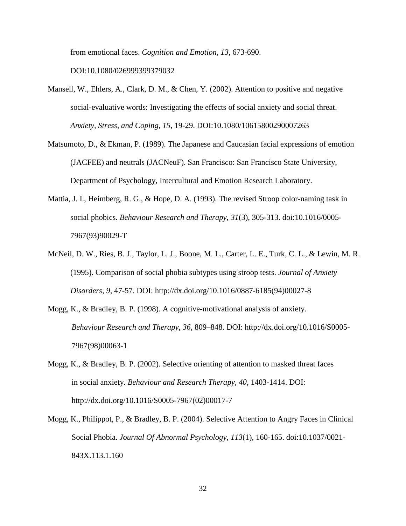from emotional faces. *Cognition and Emotion, 13,* 673-690.

DOI:10.1080/026999399379032

- Mansell, W., Ehlers, A., Clark, D. M., & Chen, Y. (2002). Attention to positive and negative social-evaluative words: Investigating the effects of social anxiety and social threat. *Anxiety, Stress, and Coping, 15,* 19-29. DOI:10.1080/10615800290007263
- Matsumoto, D., & Ekman, P. (1989). The Japanese and Caucasian facial expressions of emotion (JACFEE) and neutrals (JACNeuF). San Francisco: San Francisco State University, Department of Psychology, Intercultural and Emotion Research Laboratory.
- Mattia, J. I., Heimberg, R. G., & Hope, D. A. (1993). The revised Stroop color-naming task in social phobics. *Behaviour Research and Therapy*, *31*(3), 305-313. doi:10.1016/0005- 7967(93)90029-T
- McNeil, D. W., Ries, B. J., Taylor, L. J., Boone, M. L., Carter, L. E., Turk, C. L., & Lewin, M. R. (1995). Comparison of social phobia subtypes using stroop tests. *Journal of Anxiety Disorders, 9,* 47-57. DOI: http://dx.doi.org/10.1016/0887-6185(94)00027-8
- Mogg, K., & Bradley, B. P. (1998). A cognitive-motivational analysis of anxiety. *Behaviour Research and Therapy, 36*, 809–848. DOI: http://dx.doi.org/10.1016/S0005- 7967(98)00063-1
- Mogg, K., & Bradley, B. P. (2002). Selective orienting of attention to masked threat faces in social anxiety. *Behaviour and Research Therapy, 40*, 1403-1414. DOI: http://dx.doi.org/10.1016/S0005-7967(02)00017-7
- Mogg, K., Philippot, P., & Bradley, B. P. (2004). Selective Attention to Angry Faces in Clinical Social Phobia. *Journal Of Abnormal Psychology*, *113*(1), 160-165. doi:10.1037/0021- 843X.113.1.160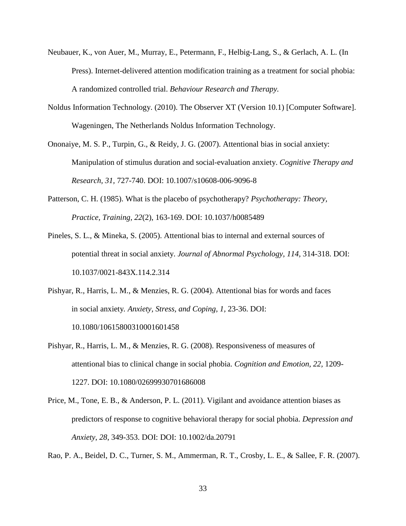- Neubauer, K., von Auer, M., Murray, E., Petermann, F., Helbig-Lang, S., & Gerlach, A. L. (In Press). Internet-delivered attention modification training as a treatment for social phobia: A randomized controlled trial. *Behaviour Research and Therapy.*
- Noldus Information Technology. (2010). The Observer XT (Version 10.1) [Computer Software]. Wageningen, The Netherlands Noldus Information Technology.
- Ononaiye, M. S. P., Turpin, G., & Reidy, J. G. (2007). Attentional bias in social anxiety: Manipulation of stimulus duration and social-evaluation anxiety. *Cognitive Therapy and Research, 31,* 727-740. DOI: 10.1007/s10608-006-9096-8
- Patterson, C. H. (1985). What is the placebo of psychotherapy? *Psychotherapy: Theory, Practice, Training, 22*(2), 163-169. DOI: 10.1037/h0085489
- Pineles, S. L., & Mineka, S. (2005). Attentional bias to internal and external sources of potential threat in social anxiety. *Journal of Abnormal Psychology, 114,* 314-318. DOI: 10.1037/0021-843X.114.2.314
- Pishyar, R., Harris, L. M., & Menzies, R. G. (2004). Attentional bias for words and faces in social anxiety*. Anxiety, Stress, and Coping, 1,* 23-36. DOI: 10.1080/10615800310001601458
- Pishyar, R., Harris, L. M., & Menzies, R. G. (2008). Responsiveness of measures of attentional bias to clinical change in social phobia. *Cognition and Emotion, 22,* 1209- 1227. DOI: 10.1080/02699930701686008
- Price, M., Tone, E. B., & Anderson, P. L. (2011). Vigilant and avoidance attention biases as predictors of response to cognitive behavioral therapy for social phobia. *Depression and Anxiety*, *28*, 349-353. DOI: DOI: 10.1002/da.20791

Rao, P. A., Beidel, D. C., Turner, S. M., Ammerman, R. T., Crosby, L. E., & Sallee, F. R. (2007).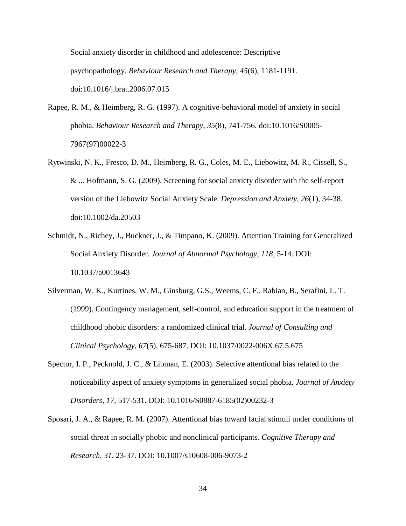Social anxiety disorder in childhood and adolescence: Descriptive psychopathology. *Behaviour Research and Therapy*, *45*(6), 1181-1191. doi:10.1016/j.brat.2006.07.015

- Rapee, R. M., & Heimberg, R. G. (1997). A cognitive-behavioral model of anxiety in social phobia. *Behaviour Research and Therapy*, *35*(8), 741-756. doi:10.1016/S0005- 7967(97)00022-3
- Rytwinski, N. K., Fresco, D. M., Heimberg, R. G., Coles, M. E., Liebowitz, M. R., Cissell, S., & ... Hofmann, S. G. (2009). Screening for social anxiety disorder with the self-report version of the Liebowitz Social Anxiety Scale. *Depression and Anxiety*, *26*(1), 34-38. doi:10.1002/da.20503
- Schmidt, N., Richey, J., Buckner, J., & Timpano, K. (2009). Attention Training for Generalized Social Anxiety Disorder. *Journal of Abnormal Psychology, 118*, 5-14. DOI: 10.1037/a0013643
- Silverman, W. K., Kurtines, W. M., Ginsburg, G.S., Weems, C. F., Rabian, B., Serafini, L. T. (1999). Contingency management, self-control, and education support in the treatment of childhood phobic disorders: a randomized clinical trial. *Journal of Consulting and Clinical Psychology, 67*(5)*,* 675-687. DOI: 10.1037/0022-006X.67.5.675
- Spector, I. P., Pecknold, J. C., & Libman, E. (2003). Selective attentional bias related to the noticeability aspect of anxiety symptoms in generalized social phobia. *Journal of Anxiety Disorders, 17,* 517-531. DOI: 10.1016/S0887-6185(02)00232-3
- Sposari, J. A., & Rapee, R. M. (2007). Attentional bias toward facial stimuli under conditions of social threat in socially phobic and nonclinical participants. *Cognitive Therapy and Research, 31,* 23-37. DOI: 10.1007/s10608-006-9073-2